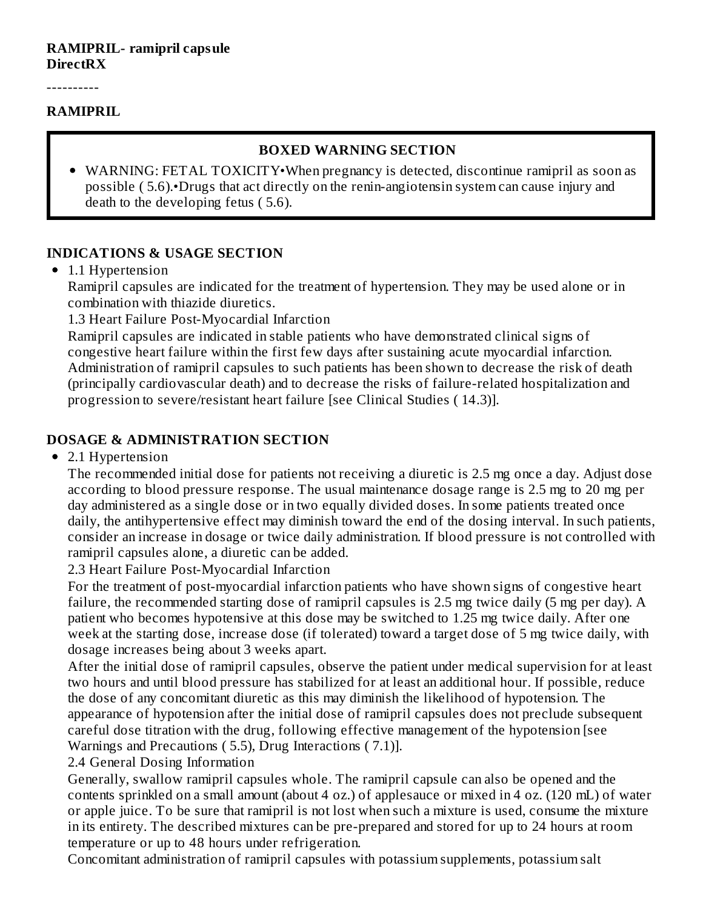#### **RAMIPRIL- ramipril capsule DirectRX**

----------

#### **RAMIPRIL**

#### **BOXED WARNING SECTION**

WARNING: FETAL TOXICITY•When pregnancy is detected, discontinue ramipril as soon as possible ( 5.6).•Drugs that act directly on the renin-angiotensin system can cause injury and death to the developing fetus ( 5.6).

#### **INDICATIONS & USAGE SECTION**

• 1.1 Hypertension

Ramipril capsules are indicated for the treatment of hypertension. They may be used alone or in combination with thiazide diuretics.

1.3 Heart Failure Post-Myocardial Infarction

Ramipril capsules are indicated in stable patients who have demonstrated clinical signs of congestive heart failure within the first few days after sustaining acute myocardial infarction. Administration of ramipril capsules to such patients has been shown to decrease the risk of death (principally cardiovascular death) and to decrease the risks of failure-related hospitalization and progression to severe/resistant heart failure [see Clinical Studies ( 14.3)].

#### **DOSAGE & ADMINISTRATION SECTION**

• 2.1 Hypertension

The recommended initial dose for patients not receiving a diuretic is 2.5 mg once a day. Adjust dose according to blood pressure response. The usual maintenance dosage range is 2.5 mg to 20 mg per day administered as a single dose or in two equally divided doses. In some patients treated once daily, the antihypertensive effect may diminish toward the end of the dosing interval. In such patients, consider an increase in dosage or twice daily administration. If blood pressure is not controlled with ramipril capsules alone, a diuretic can be added.

2.3 Heart Failure Post-Myocardial Infarction

For the treatment of post-myocardial infarction patients who have shown signs of congestive heart failure, the recommended starting dose of ramipril capsules is 2.5 mg twice daily (5 mg per day). A patient who becomes hypotensive at this dose may be switched to 1.25 mg twice daily. After one week at the starting dose, increase dose (if tolerated) toward a target dose of 5 mg twice daily, with dosage increases being about 3 weeks apart.

After the initial dose of ramipril capsules, observe the patient under medical supervision for at least two hours and until blood pressure has stabilized for at least an additional hour. If possible, reduce the dose of any concomitant diuretic as this may diminish the likelihood of hypotension. The appearance of hypotension after the initial dose of ramipril capsules does not preclude subsequent careful dose titration with the drug, following effective management of the hypotension [see Warnings and Precautions ( 5.5), Drug Interactions ( 7.1)].

2.4 General Dosing Information

Generally, swallow ramipril capsules whole. The ramipril capsule can also be opened and the contents sprinkled on a small amount (about 4 oz.) of applesauce or mixed in 4 oz. (120 mL) of water or apple juice. To be sure that ramipril is not lost when such a mixture is used, consume the mixture in its entirety. The described mixtures can be pre-prepared and stored for up to 24 hours at room temperature or up to 48 hours under refrigeration.

Concomitant administration of ramipril capsules with potassium supplements, potassium salt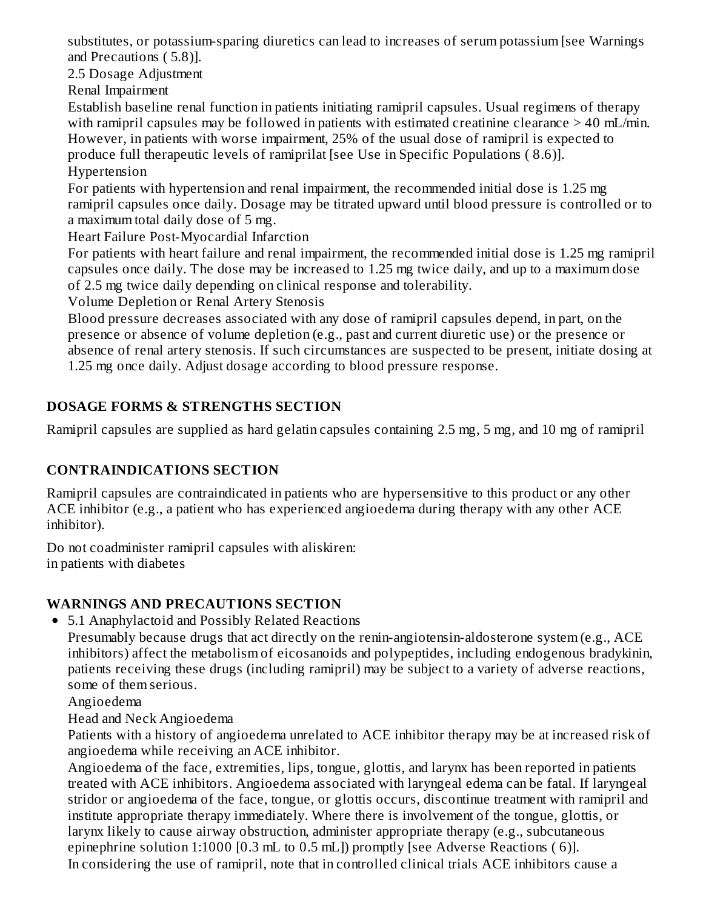substitutes, or potassium-sparing diuretics can lead to increases of serum potassium [see Warnings and Precautions ( 5.8)].

2.5 Dosage Adjustment

Renal Impairment

Establish baseline renal function in patients initiating ramipril capsules. Usual regimens of therapy with ramipril capsules may be followed in patients with estimated creatinine clearance > 40 mL/min. However, in patients with worse impairment, 25% of the usual dose of ramipril is expected to produce full therapeutic levels of ramiprilat [see Use in Specific Populations ( 8.6)]. Hypertension

For patients with hypertension and renal impairment, the recommended initial dose is 1.25 mg ramipril capsules once daily. Dosage may be titrated upward until blood pressure is controlled or to a maximum total daily dose of 5 mg.

Heart Failure Post-Myocardial Infarction

For patients with heart failure and renal impairment, the recommended initial dose is 1.25 mg ramipril capsules once daily. The dose may be increased to 1.25 mg twice daily, and up to a maximum dose of 2.5 mg twice daily depending on clinical response and tolerability.

Volume Depletion or Renal Artery Stenosis

Blood pressure decreases associated with any dose of ramipril capsules depend, in part, on the presence or absence of volume depletion (e.g., past and current diuretic use) or the presence or absence of renal artery stenosis. If such circumstances are suspected to be present, initiate dosing at 1.25 mg once daily. Adjust dosage according to blood pressure response.

# **DOSAGE FORMS & STRENGTHS SECTION**

Ramipril capsules are supplied as hard gelatin capsules containing 2.5 mg, 5 mg, and 10 mg of ramipril

# **CONTRAINDICATIONS SECTION**

Ramipril capsules are contraindicated in patients who are hypersensitive to this product or any other ACE inhibitor (e.g., a patient who has experienced angioedema during therapy with any other ACE inhibitor).

Do not coadminister ramipril capsules with aliskiren: in patients with diabetes

# **WARNINGS AND PRECAUTIONS SECTION**

5.1 Anaphylactoid and Possibly Related Reactions

Presumably because drugs that act directly on the renin-angiotensin-aldosterone system (e.g., ACE inhibitors) affect the metabolism of eicosanoids and polypeptides, including endogenous bradykinin, patients receiving these drugs (including ramipril) may be subject to a variety of adverse reactions, some of them serious.

Angioedema

Head and Neck Angioedema

Patients with a history of angioedema unrelated to ACE inhibitor therapy may be at increased risk of angioedema while receiving an ACE inhibitor.

Angioedema of the face, extremities, lips, tongue, glottis, and larynx has been reported in patients treated with ACE inhibitors. Angioedema associated with laryngeal edema can be fatal. If laryngeal stridor or angioedema of the face, tongue, or glottis occurs, discontinue treatment with ramipril and institute appropriate therapy immediately. Where there is involvement of the tongue, glottis, or larynx likely to cause airway obstruction, administer appropriate therapy (e.g., subcutaneous epinephrine solution 1:1000 [0.3 mL to 0.5 mL]) promptly [see Adverse Reactions ( 6)]. In considering the use of ramipril, note that in controlled clinical trials ACE inhibitors cause a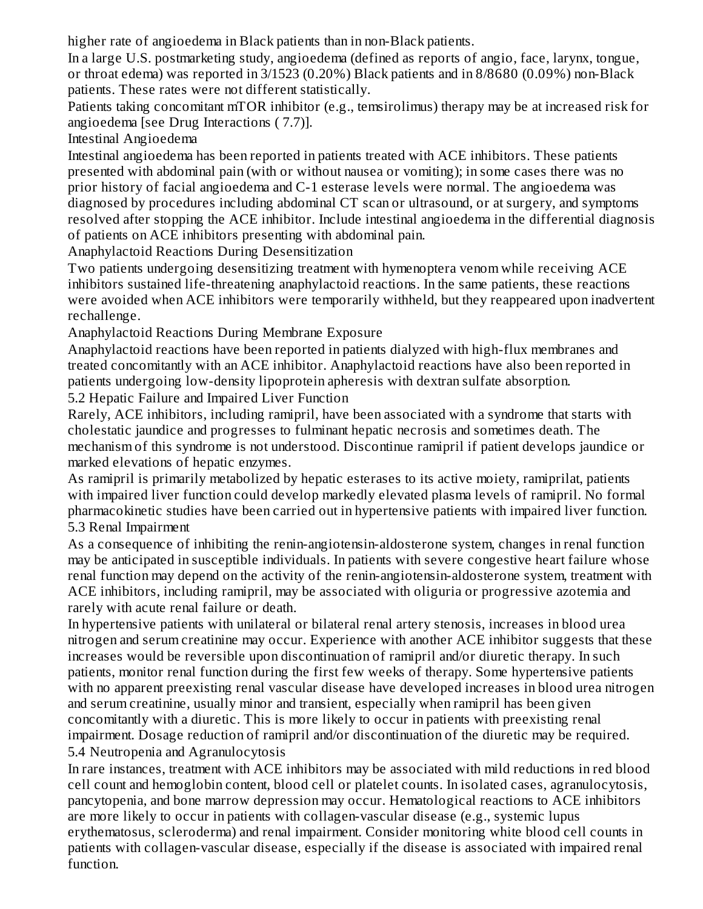higher rate of angioedema in Black patients than in non-Black patients.

In a large U.S. postmarketing study, angioedema (defined as reports of angio, face, larynx, tongue, or throat edema) was reported in 3/1523 (0.20%) Black patients and in 8/8680 (0.09%) non-Black patients. These rates were not different statistically.

Patients taking concomitant mTOR inhibitor (e.g., temsirolimus) therapy may be at increased risk for angioedema [see Drug Interactions ( 7.7)].

Intestinal Angioedema

Intestinal angioedema has been reported in patients treated with ACE inhibitors. These patients presented with abdominal pain (with or without nausea or vomiting); in some cases there was no prior history of facial angioedema and C-1 esterase levels were normal. The angioedema was diagnosed by procedures including abdominal CT scan or ultrasound, or at surgery, and symptoms resolved after stopping the ACE inhibitor. Include intestinal angioedema in the differential diagnosis of patients on ACE inhibitors presenting with abdominal pain.

Anaphylactoid Reactions During Desensitization

Two patients undergoing desensitizing treatment with hymenoptera venom while receiving ACE inhibitors sustained life-threatening anaphylactoid reactions. In the same patients, these reactions were avoided when ACE inhibitors were temporarily withheld, but they reappeared upon inadvertent rechallenge.

Anaphylactoid Reactions During Membrane Exposure

Anaphylactoid reactions have been reported in patients dialyzed with high-flux membranes and treated concomitantly with an ACE inhibitor. Anaphylactoid reactions have also been reported in patients undergoing low-density lipoprotein apheresis with dextran sulfate absorption.

5.2 Hepatic Failure and Impaired Liver Function

Rarely, ACE inhibitors, including ramipril, have been associated with a syndrome that starts with cholestatic jaundice and progresses to fulminant hepatic necrosis and sometimes death. The mechanism of this syndrome is not understood. Discontinue ramipril if patient develops jaundice or marked elevations of hepatic enzymes.

As ramipril is primarily metabolized by hepatic esterases to its active moiety, ramiprilat, patients with impaired liver function could develop markedly elevated plasma levels of ramipril. No formal pharmacokinetic studies have been carried out in hypertensive patients with impaired liver function. 5.3 Renal Impairment

As a consequence of inhibiting the renin-angiotensin-aldosterone system, changes in renal function may be anticipated in susceptible individuals. In patients with severe congestive heart failure whose renal function may depend on the activity of the renin-angiotensin-aldosterone system, treatment with ACE inhibitors, including ramipril, may be associated with oliguria or progressive azotemia and rarely with acute renal failure or death.

In hypertensive patients with unilateral or bilateral renal artery stenosis, increases in blood urea nitrogen and serum creatinine may occur. Experience with another ACE inhibitor suggests that these increases would be reversible upon discontinuation of ramipril and/or diuretic therapy. In such patients, monitor renal function during the first few weeks of therapy. Some hypertensive patients with no apparent preexisting renal vascular disease have developed increases in blood urea nitrogen and serum creatinine, usually minor and transient, especially when ramipril has been given concomitantly with a diuretic. This is more likely to occur in patients with preexisting renal impairment. Dosage reduction of ramipril and/or discontinuation of the diuretic may be required. 5.4 Neutropenia and Agranulocytosis

In rare instances, treatment with ACE inhibitors may be associated with mild reductions in red blood cell count and hemoglobin content, blood cell or platelet counts. In isolated cases, agranulocytosis, pancytopenia, and bone marrow depression may occur. Hematological reactions to ACE inhibitors are more likely to occur in patients with collagen-vascular disease (e.g., systemic lupus erythematosus, scleroderma) and renal impairment. Consider monitoring white blood cell counts in patients with collagen-vascular disease, especially if the disease is associated with impaired renal function.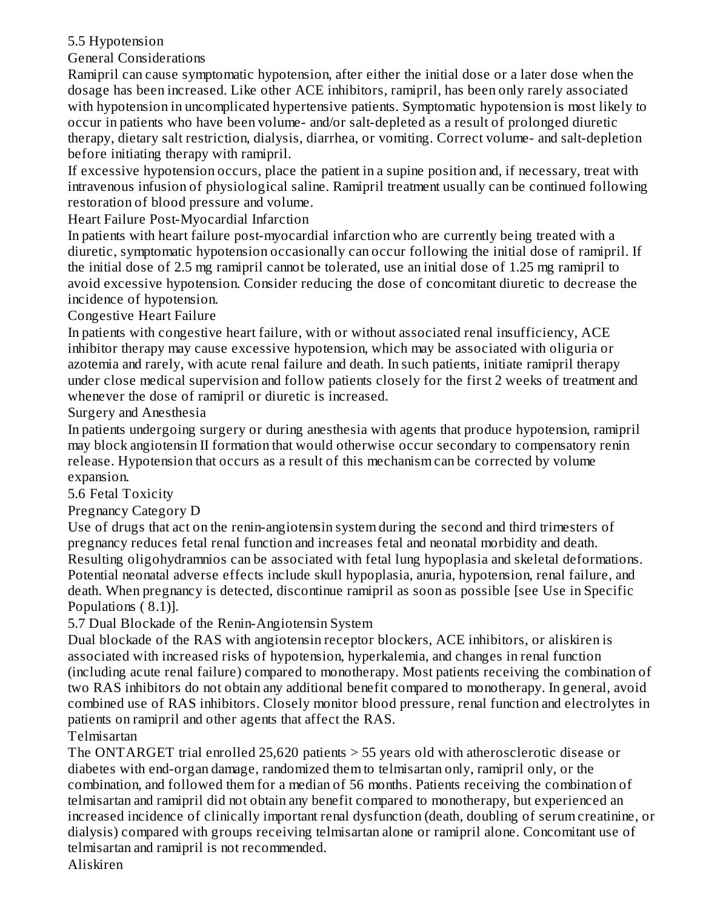## 5.5 Hypotension

General Considerations

Ramipril can cause symptomatic hypotension, after either the initial dose or a later dose when the dosage has been increased. Like other ACE inhibitors, ramipril, has been only rarely associated with hypotension in uncomplicated hypertensive patients. Symptomatic hypotension is most likely to occur in patients who have been volume- and/or salt-depleted as a result of prolonged diuretic therapy, dietary salt restriction, dialysis, diarrhea, or vomiting. Correct volume- and salt-depletion before initiating therapy with ramipril.

If excessive hypotension occurs, place the patient in a supine position and, if necessary, treat with intravenous infusion of physiological saline. Ramipril treatment usually can be continued following restoration of blood pressure and volume.

Heart Failure Post-Myocardial Infarction

In patients with heart failure post-myocardial infarction who are currently being treated with a diuretic, symptomatic hypotension occasionally can occur following the initial dose of ramipril. If the initial dose of 2.5 mg ramipril cannot be tolerated, use an initial dose of 1.25 mg ramipril to avoid excessive hypotension. Consider reducing the dose of concomitant diuretic to decrease the incidence of hypotension.

Congestive Heart Failure

In patients with congestive heart failure, with or without associated renal insufficiency, ACE inhibitor therapy may cause excessive hypotension, which may be associated with oliguria or azotemia and rarely, with acute renal failure and death. In such patients, initiate ramipril therapy under close medical supervision and follow patients closely for the first 2 weeks of treatment and whenever the dose of ramipril or diuretic is increased.

Surgery and Anesthesia

In patients undergoing surgery or during anesthesia with agents that produce hypotension, ramipril may block angiotensin II formation that would otherwise occur secondary to compensatory renin release. Hypotension that occurs as a result of this mechanism can be corrected by volume expansion.

5.6 Fetal Toxicity

Pregnancy Category D

Use of drugs that act on the renin-angiotensin system during the second and third trimesters of pregnancy reduces fetal renal function and increases fetal and neonatal morbidity and death. Resulting oligohydramnios can be associated with fetal lung hypoplasia and skeletal deformations. Potential neonatal adverse effects include skull hypoplasia, anuria, hypotension, renal failure, and death. When pregnancy is detected, discontinue ramipril as soon as possible [see Use in Specific Populations ( 8.1)].

5.7 Dual Blockade of the Renin-Angiotensin System

Dual blockade of the RAS with angiotensin receptor blockers, ACE inhibitors, or aliskiren is associated with increased risks of hypotension, hyperkalemia, and changes in renal function (including acute renal failure) compared to monotherapy. Most patients receiving the combination of two RAS inhibitors do not obtain any additional benefit compared to monotherapy. In general, avoid combined use of RAS inhibitors. Closely monitor blood pressure, renal function and electrolytes in patients on ramipril and other agents that affect the RAS.

Telmisartan

The ONTARGET trial enrolled 25,620 patients > 55 years old with atherosclerotic disease or diabetes with end-organ damage, randomized them to telmisartan only, ramipril only, or the combination, and followed them for a median of 56 months. Patients receiving the combination of telmisartan and ramipril did not obtain any benefit compared to monotherapy, but experienced an increased incidence of clinically important renal dysfunction (death, doubling of serum creatinine, or dialysis) compared with groups receiving telmisartan alone or ramipril alone. Concomitant use of telmisartan and ramipril is not recommended.

Aliskiren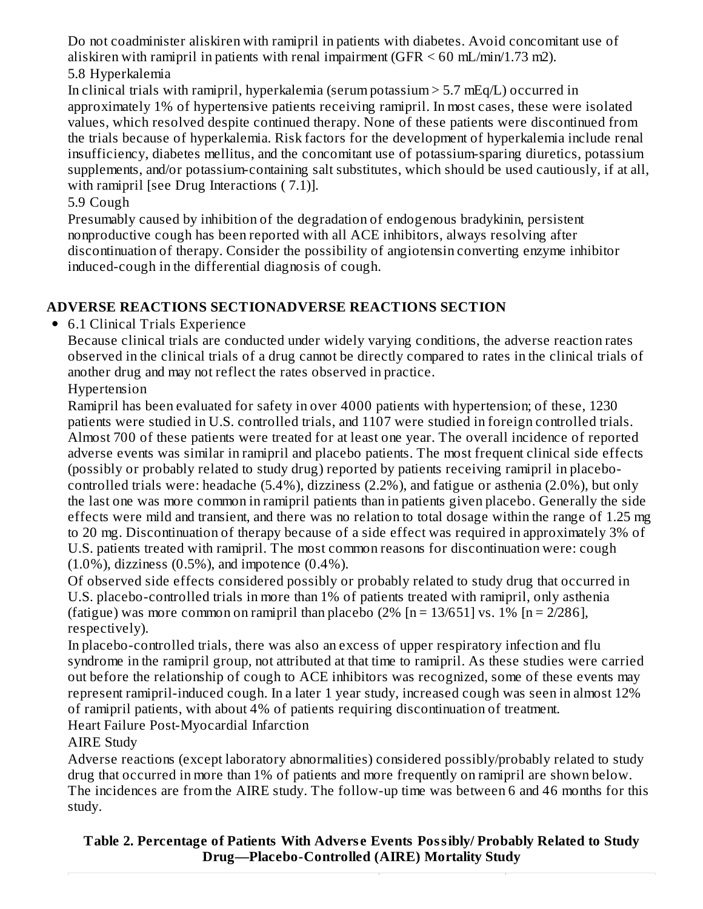Do not coadminister aliskiren with ramipril in patients with diabetes. Avoid concomitant use of aliskiren with ramipril in patients with renal impairment  $(GFR < 60$  mL/min/1.73 m2). 5.8 Hyperkalemia

In clinical trials with ramipril, hyperkalemia (serum potassium > 5.7 mEq/L) occurred in approximately 1% of hypertensive patients receiving ramipril. In most cases, these were isolated values, which resolved despite continued therapy. None of these patients were discontinued from the trials because of hyperkalemia. Risk factors for the development of hyperkalemia include renal insufficiency, diabetes mellitus, and the concomitant use of potassium-sparing diuretics, potassium supplements, and/or potassium-containing salt substitutes, which should be used cautiously, if at all, with ramipril [see Drug Interactions  $(7.1)$ ].

5.9 Cough

Presumably caused by inhibition of the degradation of endogenous bradykinin, persistent nonproductive cough has been reported with all ACE inhibitors, always resolving after discontinuation of therapy. Consider the possibility of angiotensin converting enzyme inhibitor induced-cough in the differential diagnosis of cough.

## **ADVERSE REACTIONS SECTIONADVERSE REACTIONS SECTION**

6.1 Clinical Trials Experience

Because clinical trials are conducted under widely varying conditions, the adverse reaction rates observed in the clinical trials of a drug cannot be directly compared to rates in the clinical trials of another drug and may not reflect the rates observed in practice.

Hypertension

Ramipril has been evaluated for safety in over 4000 patients with hypertension; of these, 1230 patients were studied in U.S. controlled trials, and 1107 were studied in foreign controlled trials. Almost 700 of these patients were treated for at least one year. The overall incidence of reported adverse events was similar in ramipril and placebo patients. The most frequent clinical side effects (possibly or probably related to study drug) reported by patients receiving ramipril in placebocontrolled trials were: headache (5.4%), dizziness (2.2%), and fatigue or asthenia (2.0%), but only the last one was more common in ramipril patients than in patients given placebo. Generally the side effects were mild and transient, and there was no relation to total dosage within the range of 1.25 mg to 20 mg. Discontinuation of therapy because of a side effect was required in approximately 3% of U.S. patients treated with ramipril. The most common reasons for discontinuation were: cough  $(1.0\%)$ , dizziness  $(0.5\%)$ , and impotence  $(0.4\%)$ .

Of observed side effects considered possibly or probably related to study drug that occurred in U.S. placebo-controlled trials in more than 1% of patients treated with ramipril, only asthenia (fatigue) was more common on ramipril than placebo  $(2\%$  [n = 13/651] vs. 1% [n = 2/286], respectively).

In placebo-controlled trials, there was also an excess of upper respiratory infection and flu syndrome in the ramipril group, not attributed at that time to ramipril. As these studies were carried out before the relationship of cough to ACE inhibitors was recognized, some of these events may represent ramipril-induced cough. In a later 1 year study, increased cough was seen in almost 12% of ramipril patients, with about 4% of patients requiring discontinuation of treatment. Heart Failure Post-Myocardial Infarction

AIRE Study

Adverse reactions (except laboratory abnormalities) considered possibly/probably related to study drug that occurred in more than 1% of patients and more frequently on ramipril are shown below. The incidences are from the AIRE study. The follow-up time was between 6 and 46 months for this study.

**Table 2. Percentage of Patients With Advers e Events Possibly/ Probably Related to Study Drug—Placebo-Controlled (AIRE) Mortality Study**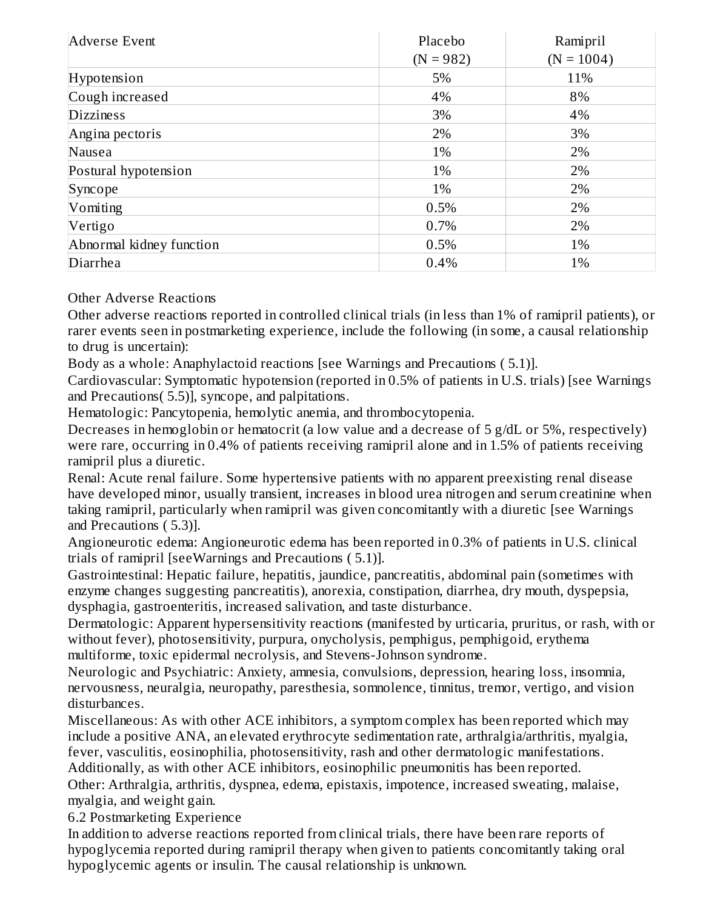| Adverse Event            | Placebo     | Ramipril     |  |
|--------------------------|-------------|--------------|--|
|                          | $(N = 982)$ | $(N = 1004)$ |  |
| Hypotension              | 5%          | 11%          |  |
| Cough increased          | 4%          | 8%           |  |
| <b>Dizziness</b>         | 3%          | 4%           |  |
| Angina pectoris          | 2%          | 3%           |  |
| Nausea                   | 1%          | 2%           |  |
| Postural hypotension     | 1%          | 2%           |  |
| Syncope                  | 1%          | 2%           |  |
| Vomiting                 | 0.5%        | 2%           |  |
| Vertigo                  | 0.7%        | 2%           |  |
| Abnormal kidney function | 0.5%        | 1%           |  |
| Diarrhea                 | 0.4%        | 1%           |  |

Other Adverse Reactions

Other adverse reactions reported in controlled clinical trials (in less than 1% of ramipril patients), or rarer events seen in postmarketing experience, include the following (in some, a causal relationship to drug is uncertain):

Body as a whole: Anaphylactoid reactions [see Warnings and Precautions ( 5.1)].

Cardiovascular: Symptomatic hypotension (reported in 0.5% of patients in U.S. trials) [see Warnings and Precautions( 5.5)], syncope, and palpitations.

Hematologic: Pancytopenia, hemolytic anemia, and thrombocytopenia.

Decreases in hemoglobin or hematocrit (a low value and a decrease of 5 g/dL or 5%, respectively) were rare, occurring in 0.4% of patients receiving ramipril alone and in 1.5% of patients receiving ramipril plus a diuretic.

Renal: Acute renal failure. Some hypertensive patients with no apparent preexisting renal disease have developed minor, usually transient, increases in blood urea nitrogen and serum creatinine when taking ramipril, particularly when ramipril was given concomitantly with a diuretic [see Warnings and Precautions ( 5.3)].

Angioneurotic edema: Angioneurotic edema has been reported in 0.3% of patients in U.S. clinical trials of ramipril [seeWarnings and Precautions ( 5.1)].

Gastrointestinal: Hepatic failure, hepatitis, jaundice, pancreatitis, abdominal pain (sometimes with enzyme changes suggesting pancreatitis), anorexia, constipation, diarrhea, dry mouth, dyspepsia, dysphagia, gastroenteritis, increased salivation, and taste disturbance.

Dermatologic: Apparent hypersensitivity reactions (manifested by urticaria, pruritus, or rash, with or without fever), photosensitivity, purpura, onycholysis, pemphigus, pemphigoid, erythema multiforme, toxic epidermal necrolysis, and Stevens-Johnson syndrome.

Neurologic and Psychiatric: Anxiety, amnesia, convulsions, depression, hearing loss, insomnia, nervousness, neuralgia, neuropathy, paresthesia, somnolence, tinnitus, tremor, vertigo, and vision disturbances.

Miscellaneous: As with other ACE inhibitors, a symptom complex has been reported which may include a positive ANA, an elevated erythrocyte sedimentation rate, arthralgia/arthritis, myalgia, fever, vasculitis, eosinophilia, photosensitivity, rash and other dermatologic manifestations. Additionally, as with other ACE inhibitors, eosinophilic pneumonitis has been reported.

Other: Arthralgia, arthritis, dyspnea, edema, epistaxis, impotence, increased sweating, malaise, myalgia, and weight gain.

6.2 Postmarketing Experience

In addition to adverse reactions reported from clinical trials, there have been rare reports of hypoglycemia reported during ramipril therapy when given to patients concomitantly taking oral hypoglycemic agents or insulin. The causal relationship is unknown.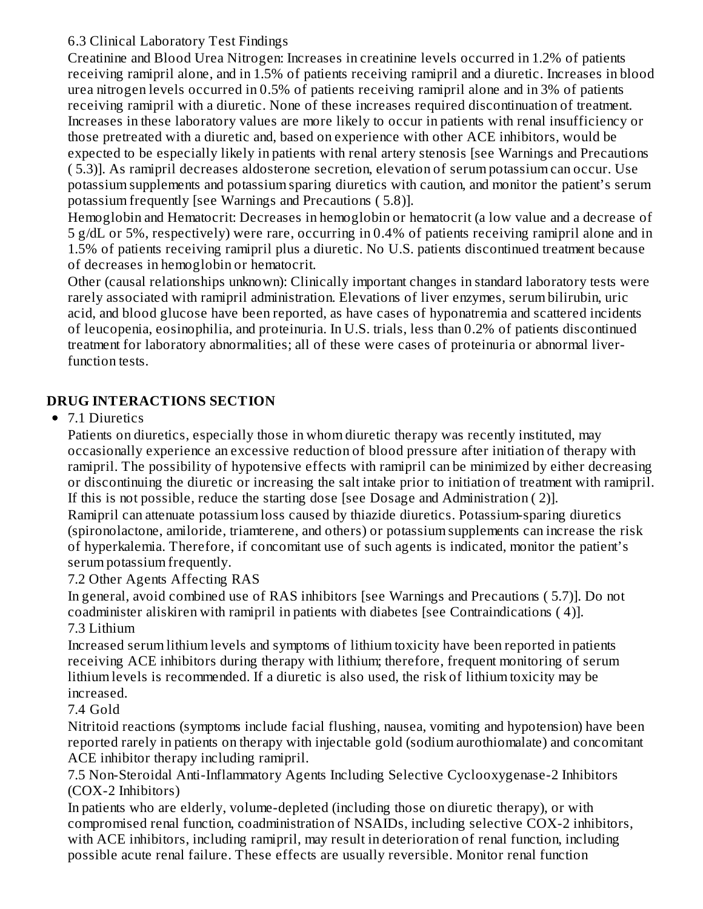## 6.3 Clinical Laboratory Test Findings

Creatinine and Blood Urea Nitrogen: Increases in creatinine levels occurred in 1.2% of patients receiving ramipril alone, and in 1.5% of patients receiving ramipril and a diuretic. Increases in blood urea nitrogen levels occurred in 0.5% of patients receiving ramipril alone and in 3% of patients receiving ramipril with a diuretic. None of these increases required discontinuation of treatment. Increases in these laboratory values are more likely to occur in patients with renal insufficiency or those pretreated with a diuretic and, based on experience with other ACE inhibitors, would be expected to be especially likely in patients with renal artery stenosis [see Warnings and Precautions ( 5.3)]. As ramipril decreases aldosterone secretion, elevation of serum potassium can occur. Use potassium supplements and potassium sparing diuretics with caution, and monitor the patient's serum potassium frequently [see Warnings and Precautions ( 5.8)].

Hemoglobin and Hematocrit: Decreases in hemoglobin or hematocrit (a low value and a decrease of 5 g/dL or 5%, respectively) were rare, occurring in 0.4% of patients receiving ramipril alone and in 1.5% of patients receiving ramipril plus a diuretic. No U.S. patients discontinued treatment because of decreases in hemoglobin or hematocrit.

Other (causal relationships unknown): Clinically important changes in standard laboratory tests were rarely associated with ramipril administration. Elevations of liver enzymes, serum bilirubin, uric acid, and blood glucose have been reported, as have cases of hyponatremia and scattered incidents of leucopenia, eosinophilia, and proteinuria. In U.S. trials, less than 0.2% of patients discontinued treatment for laboratory abnormalities; all of these were cases of proteinuria or abnormal liverfunction tests.

## **DRUG INTERACTIONS SECTION**

### • 7.1 Diuretics

Patients on diuretics, especially those in whom diuretic therapy was recently instituted, may occasionally experience an excessive reduction of blood pressure after initiation of therapy with ramipril. The possibility of hypotensive effects with ramipril can be minimized by either decreasing or discontinuing the diuretic or increasing the salt intake prior to initiation of treatment with ramipril. If this is not possible, reduce the starting dose [see Dosage and Administration ( 2)].

Ramipril can attenuate potassium loss caused by thiazide diuretics. Potassium-sparing diuretics (spironolactone, amiloride, triamterene, and others) or potassium supplements can increase the risk of hyperkalemia. Therefore, if concomitant use of such agents is indicated, monitor the patient's serum potassium frequently.

7.2 Other Agents Affecting RAS

In general, avoid combined use of RAS inhibitors [see Warnings and Precautions ( 5.7)]. Do not coadminister aliskiren with ramipril in patients with diabetes [see Contraindications ( 4)]. 7.3 Lithium

Increased serum lithium levels and symptoms of lithium toxicity have been reported in patients receiving ACE inhibitors during therapy with lithium; therefore, frequent monitoring of serum lithium levels is recommended. If a diuretic is also used, the risk of lithium toxicity may be increased.

### 7.4 Gold

Nitritoid reactions (symptoms include facial flushing, nausea, vomiting and hypotension) have been reported rarely in patients on therapy with injectable gold (sodium aurothiomalate) and concomitant ACE inhibitor therapy including ramipril.

7.5 Non-Steroidal Anti-Inflammatory Agents Including Selective Cyclooxygenase-2 Inhibitors (COX-2 Inhibitors)

In patients who are elderly, volume-depleted (including those on diuretic therapy), or with compromised renal function, coadministration of NSAIDs, including selective COX-2 inhibitors, with ACE inhibitors, including ramipril, may result in deterioration of renal function, including possible acute renal failure. These effects are usually reversible. Monitor renal function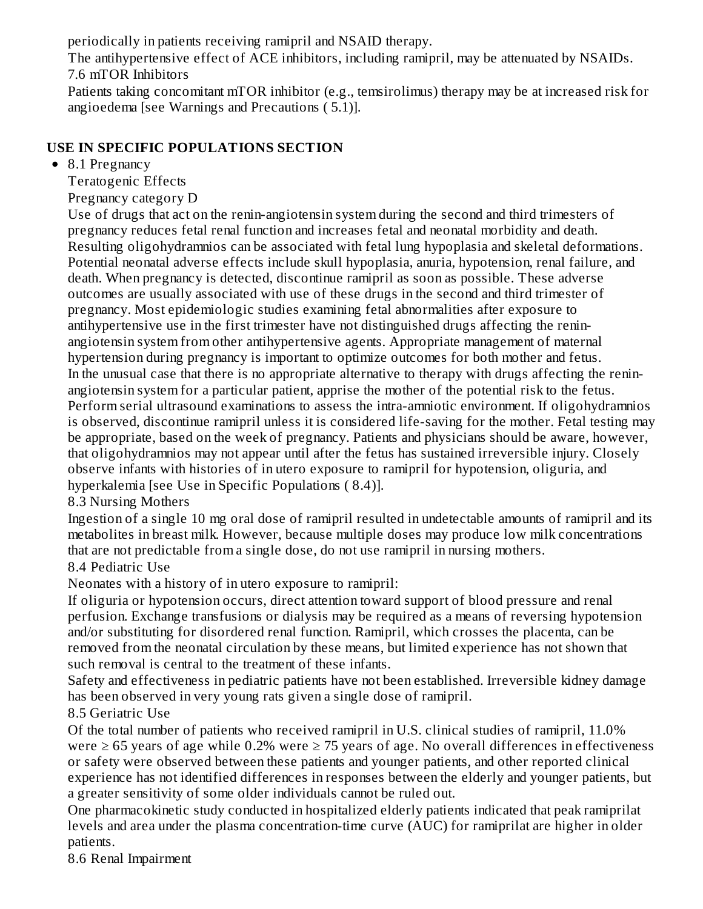periodically in patients receiving ramipril and NSAID therapy.

The antihypertensive effect of ACE inhibitors, including ramipril, may be attenuated by NSAIDs. 7.6 mTOR Inhibitors

Patients taking concomitant mTOR inhibitor (e.g., temsirolimus) therapy may be at increased risk for angioedema [see Warnings and Precautions ( 5.1)].

## **USE IN SPECIFIC POPULATIONS SECTION**

### • 8.1 Pregnancy

Teratogenic Effects

Pregnancy category D

Use of drugs that act on the renin-angiotensin system during the second and third trimesters of pregnancy reduces fetal renal function and increases fetal and neonatal morbidity and death. Resulting oligohydramnios can be associated with fetal lung hypoplasia and skeletal deformations. Potential neonatal adverse effects include skull hypoplasia, anuria, hypotension, renal failure, and death. When pregnancy is detected, discontinue ramipril as soon as possible. These adverse outcomes are usually associated with use of these drugs in the second and third trimester of pregnancy. Most epidemiologic studies examining fetal abnormalities after exposure to antihypertensive use in the first trimester have not distinguished drugs affecting the reninangiotensin system from other antihypertensive agents. Appropriate management of maternal hypertension during pregnancy is important to optimize outcomes for both mother and fetus. In the unusual case that there is no appropriate alternative to therapy with drugs affecting the reninangiotensin system for a particular patient, apprise the mother of the potential risk to the fetus. Perform serial ultrasound examinations to assess the intra-amniotic environment. If oligohydramnios is observed, discontinue ramipril unless it is considered life-saving for the mother. Fetal testing may be appropriate, based on the week of pregnancy. Patients and physicians should be aware, however, that oligohydramnios may not appear until after the fetus has sustained irreversible injury. Closely observe infants with histories of in utero exposure to ramipril for hypotension, oliguria, and hyperkalemia [see Use in Specific Populations ( 8.4)].

## 8.3 Nursing Mothers

Ingestion of a single 10 mg oral dose of ramipril resulted in undetectable amounts of ramipril and its metabolites in breast milk. However, because multiple doses may produce low milk concentrations that are not predictable from a single dose, do not use ramipril in nursing mothers.

# 8.4 Pediatric Use

Neonates with a history of in utero exposure to ramipril:

If oliguria or hypotension occurs, direct attention toward support of blood pressure and renal perfusion. Exchange transfusions or dialysis may be required as a means of reversing hypotension and/or substituting for disordered renal function. Ramipril, which crosses the placenta, can be removed from the neonatal circulation by these means, but limited experience has not shown that such removal is central to the treatment of these infants.

Safety and effectiveness in pediatric patients have not been established. Irreversible kidney damage has been observed in very young rats given a single dose of ramipril.

# 8.5 Geriatric Use

Of the total number of patients who received ramipril in U.S. clinical studies of ramipril, 11.0% were  $\geq 65$  years of age while 0.2% were  $\geq 75$  years of age. No overall differences in effectiveness or safety were observed between these patients and younger patients, and other reported clinical experience has not identified differences in responses between the elderly and younger patients, but a greater sensitivity of some older individuals cannot be ruled out.

One pharmacokinetic study conducted in hospitalized elderly patients indicated that peak ramiprilat levels and area under the plasma concentration-time curve (AUC) for ramiprilat are higher in older patients.

8.6 Renal Impairment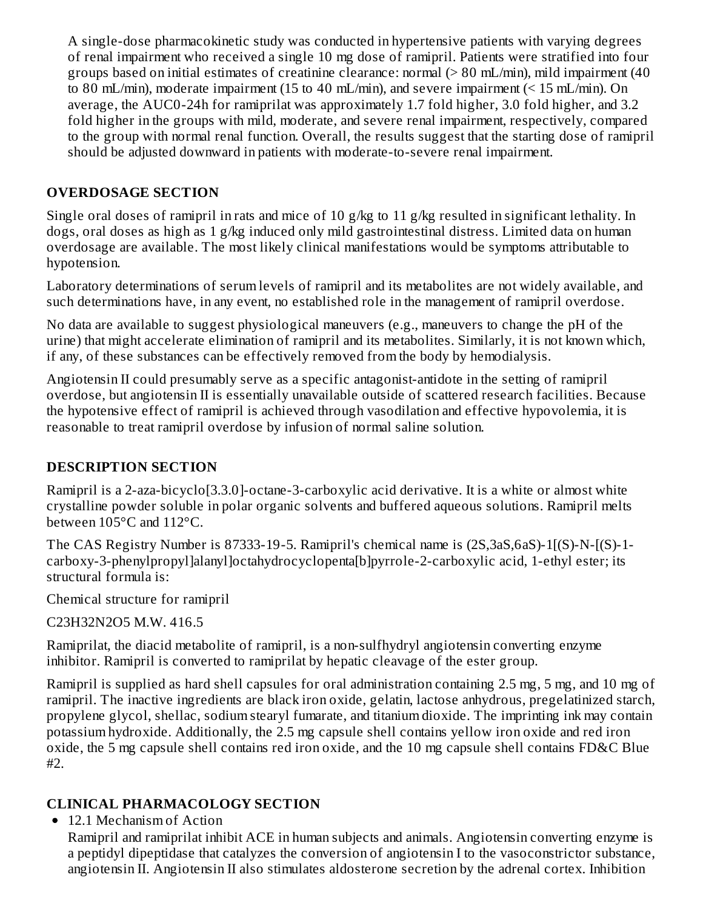A single-dose pharmacokinetic study was conducted in hypertensive patients with varying degrees of renal impairment who received a single 10 mg dose of ramipril. Patients were stratified into four groups based on initial estimates of creatinine clearance: normal (> 80 mL/min), mild impairment (40 to 80 mL/min), moderate impairment (15 to 40 mL/min), and severe impairment (< 15 mL/min). On average, the AUC0-24h for ramiprilat was approximately 1.7 fold higher, 3.0 fold higher, and 3.2 fold higher in the groups with mild, moderate, and severe renal impairment, respectively, compared to the group with normal renal function. Overall, the results suggest that the starting dose of ramipril should be adjusted downward in patients with moderate-to-severe renal impairment.

### **OVERDOSAGE SECTION**

Single oral doses of ramipril in rats and mice of 10 g/kg to 11 g/kg resulted in significant lethality. In dogs, oral doses as high as 1 g/kg induced only mild gastrointestinal distress. Limited data on human overdosage are available. The most likely clinical manifestations would be symptoms attributable to hypotension.

Laboratory determinations of serum levels of ramipril and its metabolites are not widely available, and such determinations have, in any event, no established role in the management of ramipril overdose.

No data are available to suggest physiological maneuvers (e.g., maneuvers to change the pH of the urine) that might accelerate elimination of ramipril and its metabolites. Similarly, it is not known which, if any, of these substances can be effectively removed from the body by hemodialysis.

Angiotensin II could presumably serve as a specific antagonist-antidote in the setting of ramipril overdose, but angiotensin II is essentially unavailable outside of scattered research facilities. Because the hypotensive effect of ramipril is achieved through vasodilation and effective hypovolemia, it is reasonable to treat ramipril overdose by infusion of normal saline solution.

### **DESCRIPTION SECTION**

Ramipril is a 2-aza-bicyclo[3.3.0]-octane-3-carboxylic acid derivative. It is a white or almost white crystalline powder soluble in polar organic solvents and buffered aqueous solutions. Ramipril melts between 105°C and 112°C.

The CAS Registry Number is 87333-19-5. Ramipril's chemical name is (2S,3aS,6aS)-1[(S)-N-[(S)-1 carboxy-3-phenylpropyl]alanyl]octahydrocyclopenta[b]pyrrole-2-carboxylic acid, 1-ethyl ester; its structural formula is:

Chemical structure for ramipril

C23H32N2O5 M.W. 416.5

Ramiprilat, the diacid metabolite of ramipril, is a non-sulfhydryl angiotensin converting enzyme inhibitor. Ramipril is converted to ramiprilat by hepatic cleavage of the ester group.

Ramipril is supplied as hard shell capsules for oral administration containing 2.5 mg, 5 mg, and 10 mg of ramipril. The inactive ingredients are black iron oxide, gelatin, lactose anhydrous, pregelatinized starch, propylene glycol, shellac, sodium stearyl fumarate, and titanium dioxide. The imprinting ink may contain potassium hydroxide. Additionally, the 2.5 mg capsule shell contains yellow iron oxide and red iron oxide, the 5 mg capsule shell contains red iron oxide, and the 10 mg capsule shell contains FD&C Blue #2.

### **CLINICAL PHARMACOLOGY SECTION**

• 12.1 Mechanism of Action

Ramipril and ramiprilat inhibit ACE in human subjects and animals. Angiotensin converting enzyme is a peptidyl dipeptidase that catalyzes the conversion of angiotensin I to the vasoconstrictor substance, angiotensin II. Angiotensin II also stimulates aldosterone secretion by the adrenal cortex. Inhibition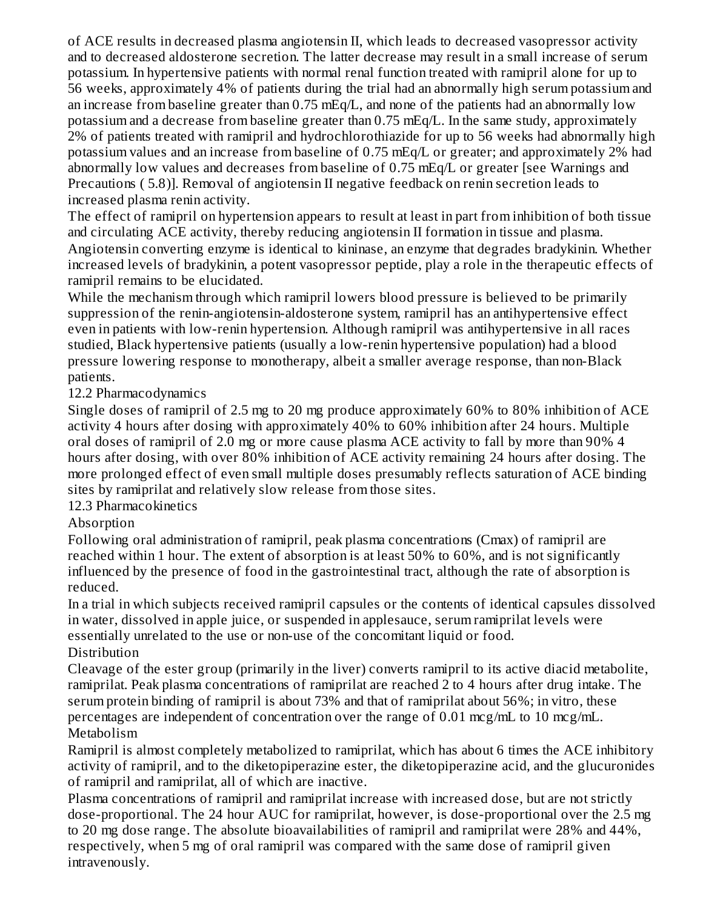of ACE results in decreased plasma angiotensin II, which leads to decreased vasopressor activity and to decreased aldosterone secretion. The latter decrease may result in a small increase of serum potassium. In hypertensive patients with normal renal function treated with ramipril alone for up to 56 weeks, approximately 4% of patients during the trial had an abnormally high serum potassium and an increase from baseline greater than 0.75 mEq/L, and none of the patients had an abnormally low potassium and a decrease from baseline greater than 0.75 mEq/L. In the same study, approximately 2% of patients treated with ramipril and hydrochlorothiazide for up to 56 weeks had abnormally high potassium values and an increase from baseline of 0.75 mEq/L or greater; and approximately 2% had abnormally low values and decreases from baseline of 0.75 mEq/L or greater [see Warnings and Precautions ( 5.8)]. Removal of angiotensin II negative feedback on renin secretion leads to increased plasma renin activity.

The effect of ramipril on hypertension appears to result at least in part from inhibition of both tissue and circulating ACE activity, thereby reducing angiotensin II formation in tissue and plasma. Angiotensin converting enzyme is identical to kininase, an enzyme that degrades bradykinin. Whether increased levels of bradykinin, a potent vasopressor peptide, play a role in the therapeutic effects of ramipril remains to be elucidated.

While the mechanism through which ramipril lowers blood pressure is believed to be primarily suppression of the renin-angiotensin-aldosterone system, ramipril has an antihypertensive effect even in patients with low-renin hypertension. Although ramipril was antihypertensive in all races studied, Black hypertensive patients (usually a low-renin hypertensive population) had a blood pressure lowering response to monotherapy, albeit a smaller average response, than non-Black patients.

### 12.2 Pharmacodynamics

Single doses of ramipril of 2.5 mg to 20 mg produce approximately 60% to 80% inhibition of ACE activity 4 hours after dosing with approximately 40% to 60% inhibition after 24 hours. Multiple oral doses of ramipril of 2.0 mg or more cause plasma ACE activity to fall by more than 90% 4 hours after dosing, with over 80% inhibition of ACE activity remaining 24 hours after dosing. The more prolonged effect of even small multiple doses presumably reflects saturation of ACE binding sites by ramiprilat and relatively slow release from those sites.

### 12.3 Pharmacokinetics

### Absorption

Following oral administration of ramipril, peak plasma concentrations (Cmax) of ramipril are reached within 1 hour. The extent of absorption is at least 50% to 60%, and is not significantly influenced by the presence of food in the gastrointestinal tract, although the rate of absorption is reduced.

In a trial in which subjects received ramipril capsules or the contents of identical capsules dissolved in water, dissolved in apple juice, or suspended in applesauce, serum ramiprilat levels were essentially unrelated to the use or non-use of the concomitant liquid or food.

### Distribution

Cleavage of the ester group (primarily in the liver) converts ramipril to its active diacid metabolite, ramiprilat. Peak plasma concentrations of ramiprilat are reached 2 to 4 hours after drug intake. The serum protein binding of ramipril is about 73% and that of ramiprilat about 56%; in vitro, these percentages are independent of concentration over the range of 0.01 mcg/mL to 10 mcg/mL. Metabolism

Ramipril is almost completely metabolized to ramiprilat, which has about 6 times the ACE inhibitory activity of ramipril, and to the diketopiperazine ester, the diketopiperazine acid, and the glucuronides of ramipril and ramiprilat, all of which are inactive.

Plasma concentrations of ramipril and ramiprilat increase with increased dose, but are not strictly dose-proportional. The 24 hour AUC for ramiprilat, however, is dose-proportional over the 2.5 mg to 20 mg dose range. The absolute bioavailabilities of ramipril and ramiprilat were 28% and 44%, respectively, when 5 mg of oral ramipril was compared with the same dose of ramipril given intravenously.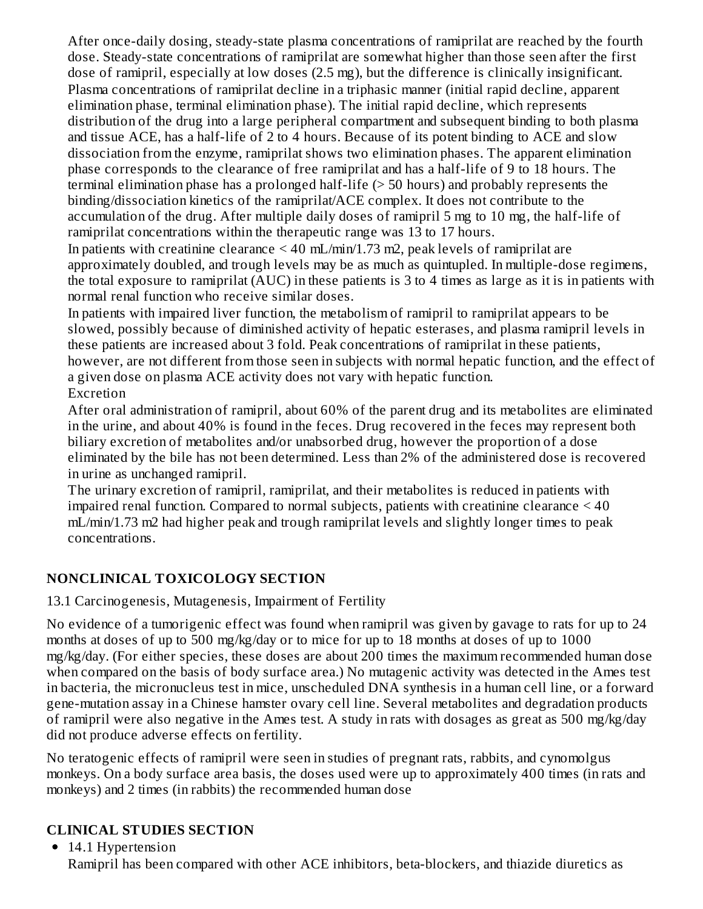After once-daily dosing, steady-state plasma concentrations of ramiprilat are reached by the fourth dose. Steady-state concentrations of ramiprilat are somewhat higher than those seen after the first dose of ramipril, especially at low doses (2.5 mg), but the difference is clinically insignificant. Plasma concentrations of ramiprilat decline in a triphasic manner (initial rapid decline, apparent elimination phase, terminal elimination phase). The initial rapid decline, which represents distribution of the drug into a large peripheral compartment and subsequent binding to both plasma and tissue ACE, has a half-life of 2 to 4 hours. Because of its potent binding to ACE and slow dissociation from the enzyme, ramiprilat shows two elimination phases. The apparent elimination phase corresponds to the clearance of free ramiprilat and has a half-life of 9 to 18 hours. The terminal elimination phase has a prolonged half-life (> 50 hours) and probably represents the binding/dissociation kinetics of the ramiprilat/ACE complex. It does not contribute to the accumulation of the drug. After multiple daily doses of ramipril 5 mg to 10 mg, the half-life of ramiprilat concentrations within the therapeutic range was 13 to 17 hours.

In patients with creatinine clearance  $\leq 40$  mL/min/1.73 m2, peak levels of ramiprilat are approximately doubled, and trough levels may be as much as quintupled. In multiple-dose regimens, the total exposure to ramiprilat (AUC) in these patients is 3 to 4 times as large as it is in patients with normal renal function who receive similar doses.

In patients with impaired liver function, the metabolism of ramipril to ramiprilat appears to be slowed, possibly because of diminished activity of hepatic esterases, and plasma ramipril levels in these patients are increased about 3 fold. Peak concentrations of ramiprilat in these patients, however, are not different from those seen in subjects with normal hepatic function, and the effect of a given dose on plasma ACE activity does not vary with hepatic function. Excretion

After oral administration of ramipril, about 60% of the parent drug and its metabolites are eliminated in the urine, and about 40% is found in the feces. Drug recovered in the feces may represent both biliary excretion of metabolites and/or unabsorbed drug, however the proportion of a dose eliminated by the bile has not been determined. Less than 2% of the administered dose is recovered in urine as unchanged ramipril.

The urinary excretion of ramipril, ramiprilat, and their metabolites is reduced in patients with impaired renal function. Compared to normal subjects, patients with creatinine clearance < 40 mL/min/1.73 m2 had higher peak and trough ramiprilat levels and slightly longer times to peak concentrations.

# **NONCLINICAL TOXICOLOGY SECTION**

# 13.1 Carcinogenesis, Mutagenesis, Impairment of Fertility

No evidence of a tumorigenic effect was found when ramipril was given by gavage to rats for up to 24 months at doses of up to 500 mg/kg/day or to mice for up to 18 months at doses of up to 1000 mg/kg/day. (For either species, these doses are about 200 times the maximum recommended human dose when compared on the basis of body surface area.) No mutagenic activity was detected in the Ames test in bacteria, the micronucleus test in mice, unscheduled DNA synthesis in a human cell line, or a forward gene-mutation assay in a Chinese hamster ovary cell line. Several metabolites and degradation products of ramipril were also negative in the Ames test. A study in rats with dosages as great as 500 mg/kg/day did not produce adverse effects on fertility.

No teratogenic effects of ramipril were seen in studies of pregnant rats, rabbits, and cynomolgus monkeys. On a body surface area basis, the doses used were up to approximately 400 times (in rats and monkeys) and 2 times (in rabbits) the recommended human dose

# **CLINICAL STUDIES SECTION**

• 14.1 Hypertension Ramipril has been compared with other ACE inhibitors, beta-blockers, and thiazide diuretics as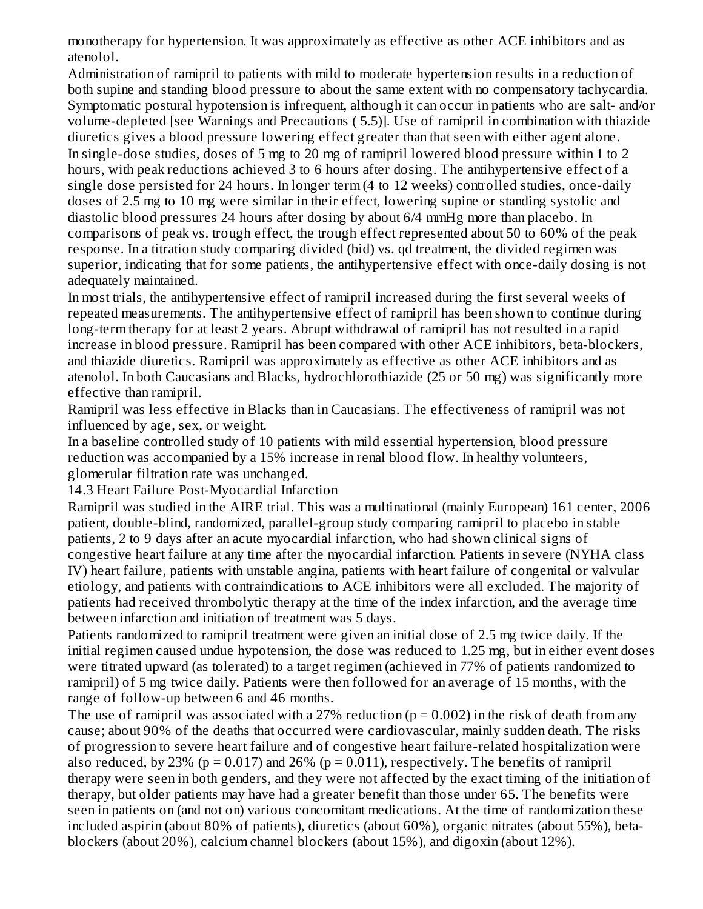monotherapy for hypertension. It was approximately as effective as other ACE inhibitors and as atenolol.

Administration of ramipril to patients with mild to moderate hypertension results in a reduction of both supine and standing blood pressure to about the same extent with no compensatory tachycardia. Symptomatic postural hypotension is infrequent, although it can occur in patients who are salt- and/or volume-depleted [see Warnings and Precautions ( 5.5)]. Use of ramipril in combination with thiazide diuretics gives a blood pressure lowering effect greater than that seen with either agent alone. In single-dose studies, doses of 5 mg to 20 mg of ramipril lowered blood pressure within 1 to 2 hours, with peak reductions achieved 3 to 6 hours after dosing. The antihypertensive effect of a single dose persisted for 24 hours. In longer term (4 to 12 weeks) controlled studies, once-daily doses of 2.5 mg to 10 mg were similar in their effect, lowering supine or standing systolic and diastolic blood pressures 24 hours after dosing by about 6/4 mmHg more than placebo. In comparisons of peak vs. trough effect, the trough effect represented about 50 to 60% of the peak response. In a titration study comparing divided (bid) vs. qd treatment, the divided regimen was superior, indicating that for some patients, the antihypertensive effect with once-daily dosing is not adequately maintained.

In most trials, the antihypertensive effect of ramipril increased during the first several weeks of repeated measurements. The antihypertensive effect of ramipril has been shown to continue during long-term therapy for at least 2 years. Abrupt withdrawal of ramipril has not resulted in a rapid increase in blood pressure. Ramipril has been compared with other ACE inhibitors, beta-blockers, and thiazide diuretics. Ramipril was approximately as effective as other ACE inhibitors and as atenolol. In both Caucasians and Blacks, hydrochlorothiazide (25 or 50 mg) was significantly more effective than ramipril.

Ramipril was less effective in Blacks than in Caucasians. The effectiveness of ramipril was not influenced by age, sex, or weight.

In a baseline controlled study of 10 patients with mild essential hypertension, blood pressure reduction was accompanied by a 15% increase in renal blood flow. In healthy volunteers, glomerular filtration rate was unchanged.

14.3 Heart Failure Post-Myocardial Infarction

Ramipril was studied in the AIRE trial. This was a multinational (mainly European) 161 center, 2006 patient, double-blind, randomized, parallel-group study comparing ramipril to placebo in stable patients, 2 to 9 days after an acute myocardial infarction, who had shown clinical signs of congestive heart failure at any time after the myocardial infarction. Patients in severe (NYHA class IV) heart failure, patients with unstable angina, patients with heart failure of congenital or valvular etiology, and patients with contraindications to ACE inhibitors were all excluded. The majority of patients had received thrombolytic therapy at the time of the index infarction, and the average time between infarction and initiation of treatment was 5 days.

Patients randomized to ramipril treatment were given an initial dose of 2.5 mg twice daily. If the initial regimen caused undue hypotension, the dose was reduced to 1.25 mg, but in either event doses were titrated upward (as tolerated) to a target regimen (achieved in 77% of patients randomized to ramipril) of 5 mg twice daily. Patients were then followed for an average of 15 months, with the range of follow-up between 6 and 46 months.

The use of ramipril was associated with a 27% reduction ( $p = 0.002$ ) in the risk of death from any cause; about 90% of the deaths that occurred were cardiovascular, mainly sudden death. The risks of progression to severe heart failure and of congestive heart failure-related hospitalization were also reduced, by 23% ( $p = 0.017$ ) and 26% ( $p = 0.011$ ), respectively. The benefits of ramipril therapy were seen in both genders, and they were not affected by the exact timing of the initiation of therapy, but older patients may have had a greater benefit than those under 65. The benefits were seen in patients on (and not on) various concomitant medications. At the time of randomization these included aspirin (about 80% of patients), diuretics (about 60%), organic nitrates (about 55%), betablockers (about 20%), calcium channel blockers (about 15%), and digoxin (about 12%).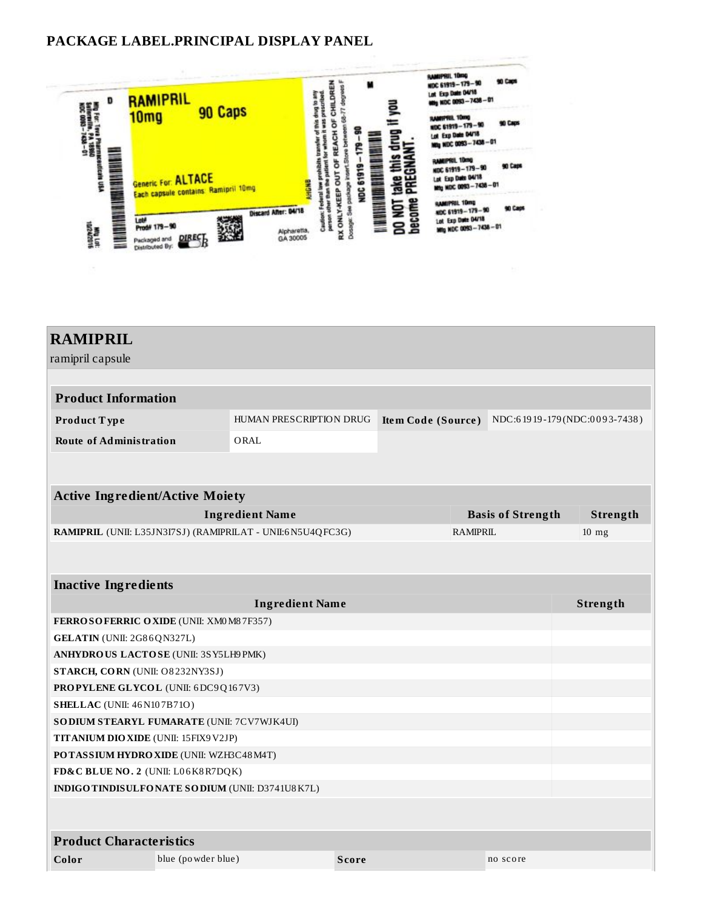#### **PACKAGE LABEL.PRINCIPAL DISPLAY PANEL**



| <b>RAMIPRIL</b>                                            |                                            |                    |                 |                          |                              |  |
|------------------------------------------------------------|--------------------------------------------|--------------------|-----------------|--------------------------|------------------------------|--|
| ramipril capsule                                           |                                            |                    |                 |                          |                              |  |
|                                                            |                                            |                    |                 |                          |                              |  |
| <b>Product Information</b>                                 |                                            |                    |                 |                          |                              |  |
| Product Type                                               | HUMAN PRESCRIPTION DRUG                    | Item Code (Source) |                 |                          | NDC:61919-179(NDC:0093-7438) |  |
| <b>Route of Administration</b>                             | ORAL                                       |                    |                 |                          |                              |  |
|                                                            |                                            |                    |                 |                          |                              |  |
|                                                            |                                            |                    |                 |                          |                              |  |
| <b>Active Ingredient/Active Moiety</b>                     |                                            |                    |                 |                          |                              |  |
|                                                            | <b>Ingredient Name</b>                     |                    |                 | <b>Basis of Strength</b> | Strength                     |  |
| RAMIPRIL (UNII: L35JN3I7SJ) (RAMIPRILAT - UNII:6N5U4QFC3G) |                                            |                    | <b>RAMIPRIL</b> |                          | $10$ mg                      |  |
|                                                            |                                            |                    |                 |                          |                              |  |
| <b>Inactive Ingredients</b>                                |                                            |                    |                 |                          |                              |  |
| <b>Ingredient Name</b>                                     |                                            |                    |                 |                          | Strength                     |  |
| FERROSOFERRIC OXIDE (UNII: XM0 M8 7F357)                   |                                            |                    |                 |                          |                              |  |
| GELATIN (UNII: 2G86QN327L)                                 |                                            |                    |                 |                          |                              |  |
| ANHYDROUS LACTOSE (UNII: 3SY5LH9 PMK)                      |                                            |                    |                 |                          |                              |  |
| STARCH, CORN (UNII: O8232NY3SJ)                            |                                            |                    |                 |                          |                              |  |
|                                                            | <b>PROPYLENE GLYCOL (UNII: 6DC9Q167V3)</b> |                    |                 |                          |                              |  |
| <b>SHELLAC</b> (UNII: 46 N107B71O)                         |                                            |                    |                 |                          |                              |  |
| SO DIUM STEARYL FUMARATE (UNII: 7CV7WJK4UI)                |                                            |                    |                 |                          |                              |  |
| TITANIUM DIO XIDE (UNII: 15FIX9 V2JP)                      |                                            |                    |                 |                          |                              |  |
| POTASSIUM HYDRO XIDE (UNII: WZH3C48M4T)                    |                                            |                    |                 |                          |                              |  |
| FD&C BLUE NO. 2 (UNII: L06K8R7DQK)                         |                                            |                    |                 |                          |                              |  |
| INDIGOTINDISULFONATE SODIUM (UNII: D3741U8K7L)             |                                            |                    |                 |                          |                              |  |
|                                                            |                                            |                    |                 |                          |                              |  |
| <b>Product Characteristics</b>                             |                                            |                    |                 |                          |                              |  |
| blue (po wder blue)                                        |                                            |                    |                 |                          |                              |  |